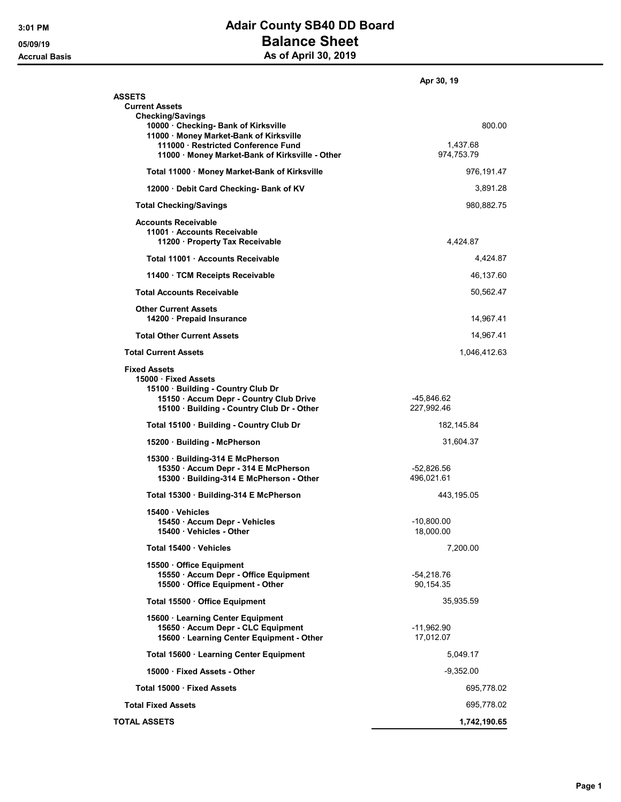## 3:01 PM **Adair County SB40 DD Board** 05/09/19 **Balance Sheet** Accrual Basis **Accrual Basis** As of April 30, 2019

|                                                                                                                                                                          | Apr 30, 19                |
|--------------------------------------------------------------------------------------------------------------------------------------------------------------------------|---------------------------|
| <b>ASSETS</b><br><b>Current Assets</b><br><b>Checking/Savings</b>                                                                                                        |                           |
| 10000 · Checking- Bank of Kirksville<br>11000 · Money Market-Bank of Kirksville<br>111000 Restricted Conference Fund                                                     | 800.00<br>1,437.68        |
| 11000 Money Market-Bank of Kirksville - Other                                                                                                                            | 974,753.79                |
| Total 11000 · Money Market-Bank of Kirksville                                                                                                                            | 976,191.47                |
| 12000 Debit Card Checking- Bank of KV                                                                                                                                    | 3,891.28                  |
| <b>Total Checking/Savings</b>                                                                                                                                            | 980,882.75                |
| <b>Accounts Receivable</b><br>11001 · Accounts Receivable<br>11200 · Property Tax Receivable                                                                             | 4,424.87                  |
| Total 11001 Accounts Receivable                                                                                                                                          | 4,424.87                  |
| 11400 TCM Receipts Receivable                                                                                                                                            | 46,137.60                 |
| <b>Total Accounts Receivable</b>                                                                                                                                         | 50,562.47                 |
| <b>Other Current Assets</b><br>14200 Prepaid Insurance                                                                                                                   | 14,967.41                 |
| <b>Total Other Current Assets</b>                                                                                                                                        | 14,967.41                 |
| <b>Total Current Assets</b>                                                                                                                                              | 1,046,412.63              |
| <b>Fixed Assets</b><br>15000 · Fixed Assets<br>15100 Building - Country Club Dr<br>15150 · Accum Depr - Country Club Drive<br>15100 · Building - Country Club Dr - Other | -45,846.62<br>227,992.46  |
| Total 15100 · Building - Country Club Dr                                                                                                                                 | 182,145.84                |
| 15200 · Building - McPherson                                                                                                                                             | 31,604.37                 |
| 15300 · Building-314 E McPherson<br>15350 Accum Depr - 314 E McPherson<br>15300 · Building-314 E McPherson - Other                                                       | -52,826.56<br>496,021.61  |
| Total 15300 · Building-314 E McPherson                                                                                                                                   | 443,195.05                |
| 15400 Vehicles<br>15450 · Accum Depr - Vehicles<br>15400 Vehicles - Other                                                                                                | $-10,800.00$<br>18,000.00 |
| Total 15400 Vehicles                                                                                                                                                     | 7,200.00                  |
| 15500 Office Equipment<br>15550 · Accum Depr - Office Equipment<br>15500 Office Equipment - Other                                                                        | -54,218.76<br>90,154.35   |
| Total 15500 Office Equipment                                                                                                                                             | 35,935.59                 |
| 15600 Learning Center Equipment<br>15650 · Accum Depr - CLC Equipment<br>15600 · Learning Center Equipment - Other                                                       | -11,962.90<br>17,012.07   |
| Total 15600 · Learning Center Equipment                                                                                                                                  | 5,049.17                  |
| 15000 Fixed Assets - Other                                                                                                                                               | $-9,352.00$               |
| Total 15000 · Fixed Assets                                                                                                                                               | 695,778.02                |
| <b>Total Fixed Assets</b>                                                                                                                                                | 695,778.02                |
| <b>TOTAL ASSETS</b>                                                                                                                                                      | 1,742,190.65              |